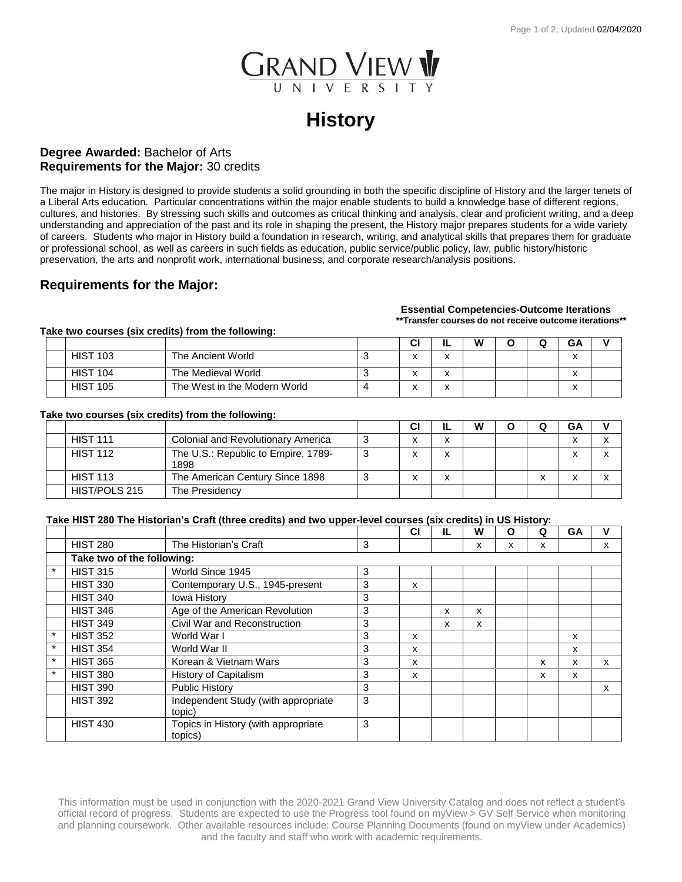

# **History**

### **Degree Awarded:** Bachelor of Arts **Requirements for the Major:** 30 credits

The major in History is designed to provide students a solid grounding in both the specific discipline of History and the larger tenets of a Liberal Arts education. Particular concentrations within the major enable students to build a knowledge base of different regions, cultures, and histories. By stressing such skills and outcomes as critical thinking and analysis, clear and proficient writing, and a deep understanding and appreciation of the past and its role in shaping the present, the History major prepares students for a wide variety of careers. Students who major in History build a foundation in research, writing, and analytical skills that prepares them for graduate or professional school, as well as careers in such fields as education, public service/public policy, law, public history/historic preservation, the arts and nonprofit work, international business, and corporate research/analysis positions.

## **Requirements for the Major:**

#### **Essential Competencies-Outcome Iterations \*\*Transfer courses do not receive outcome iterations\*\***

**Take two courses (six credits) from the following:**

|                 |                              | СI | ∸                             | W | - | <b>GA</b> |  |
|-----------------|------------------------------|----|-------------------------------|---|---|-----------|--|
| <b>HIST 103</b> | The Ancient World            |    | $\overline{\phantom{a}}$<br>́ |   |   | ◠         |  |
| <b>HIST 104</b> | The Medieval World           | ◠  | $\overline{\phantom{a}}$<br>́ |   |   | $\lambda$ |  |
| <b>HIST 105</b> | The West in the Modern World | ◠  | $\cdot$<br>́                  |   |   | $\lambda$ |  |

#### **Take two courses (six credits) from the following:**

|                 |                                             | СI | W |   | GA |  |
|-----------------|---------------------------------------------|----|---|---|----|--|
| <b>HIST 111</b> | <b>Colonial and Revolutionary America</b>   | v  |   |   |    |  |
| <b>HIST 112</b> | The U.S.: Republic to Empire, 1789-<br>1898 |    |   |   |    |  |
| <b>HIST 113</b> | The American Century Since 1898             |    |   | X |    |  |
| HIST/POLS 215   | The Presidency                              |    |   |   |    |  |

#### **Take HIST 280 The Historian's Craft (three credits) and two upper-level courses (six credits) in US History:**

|         |                            |                                     |   | <b>CI</b> | IL | w | O | Q | GA | v |
|---------|----------------------------|-------------------------------------|---|-----------|----|---|---|---|----|---|
|         | <b>HIST 280</b>            | The Historian's Craft               | 3 |           |    | x | x | x |    | x |
|         | Take two of the following: |                                     |   |           |    |   |   |   |    |   |
| $\star$ | <b>HIST 315</b>            | World Since 1945                    | 3 |           |    |   |   |   |    |   |
|         | <b>HIST 330</b>            | Contemporary U.S., 1945-present     | 3 | x         |    |   |   |   |    |   |
|         | <b>HIST 340</b>            | <b>Iowa History</b>                 | 3 |           |    |   |   |   |    |   |
|         | <b>HIST 346</b>            | Age of the American Revolution      | 3 |           | x  | x |   |   |    |   |
|         | <b>HIST 349</b>            | Civil War and Reconstruction        | 3 |           | x  | x |   |   |    |   |
| $\star$ | <b>HIST 352</b>            | World War I                         | 3 | x         |    |   |   |   | x  |   |
| $\star$ | <b>HIST 354</b>            | World War II                        | 3 | x         |    |   |   |   | x  |   |
| $\star$ | <b>HIST 365</b>            | Korean & Vietnam Wars               | 3 | x         |    |   |   | x | x  | x |
| $\star$ | <b>HIST 380</b>            | History of Capitalism               | 3 | x         |    |   |   | x | x  |   |
|         | <b>HIST 390</b>            | <b>Public History</b>               | 3 |           |    |   |   |   |    | x |
|         | <b>HIST 392</b>            | Independent Study (with appropriate | 3 |           |    |   |   |   |    |   |
|         |                            | topic)                              |   |           |    |   |   |   |    |   |
|         | <b>HIST 430</b>            | Topics in History (with appropriate | 3 |           |    |   |   |   |    |   |
|         |                            | topics)                             |   |           |    |   |   |   |    |   |

This information must be used in conjunction with the 2020-2021 Grand View University Catalog and does not reflect a student's official record of progress. Students are expected to use the Progress tool found on myView > GV Self Service when monitoring and planning coursework. Other available resources include: Course Planning Documents (found on myView under Academics) and the faculty and staff who work with academic requirements.